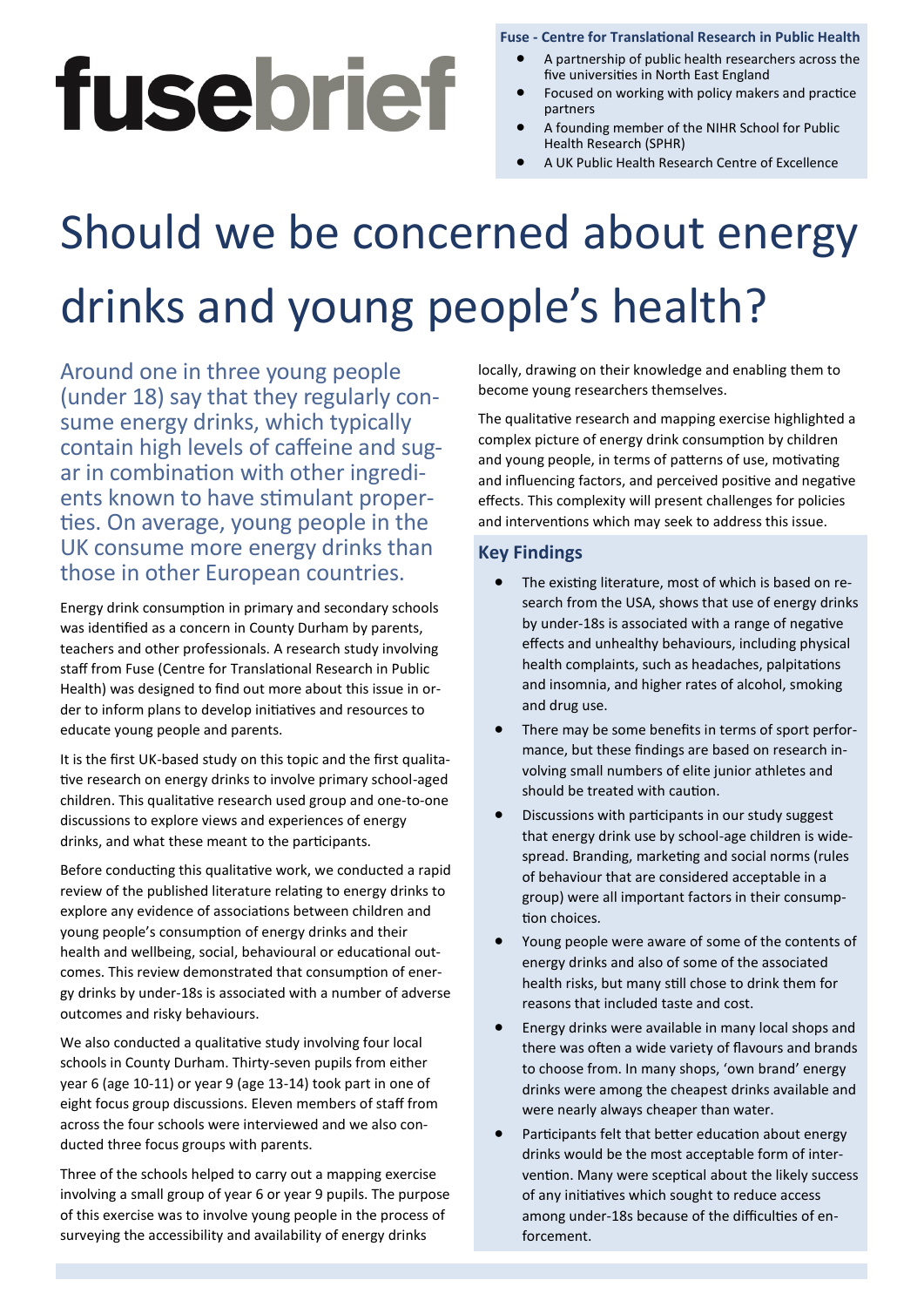# fusebrief

#### **Fuse - Centre for Translational Research in Public Health**

- A partnership of public health researchers across the five universities in North East England
- Focused on working with policy makers and practice partners
- A founding member of the NIHR School for Public Health Research (SPHR)
- A UK Public Health Research Centre of Excellence

## Should we be concerned about energy drinks and young people's health?

ar in combination with other ingredi-Around one in three young people (under 18) say that they regularly consume energy drinks, which typically contain high levels of caffeine and sugents known to have stimulant properties. On average, young people in the UK consume more energy drinks than those in other European countries.

Health) was designed to find out more about this issue in or-Energy drink consumption in primary and secondary schools was identified as a concern in County Durham by parents, teachers and other professionals. A research study involving staff from Fuse (Centre for Translational Research in Public der to inform plans to develop initiatives and resources to educate young people and parents.

It is the first UK-based study on this topic and the first qualitative research on energy drinks to involve primary school-aged children. This qualitative research used group and one-to-one discussions to explore views and experiences of energy drinks, and what these meant to the participants.

Before conducting this qualitative work, we conducted a rapid review of the published literature relating to energy drinks to explore any evidence of associations between children and young people's consumption of energy drinks and their health and wellbeing, social, behavioural or educational outcomes. This review demonstrated that consumption of energy drinks by under-18s is associated with a number of adverse outcomes and risky behaviours.

We also conducted a qualitative study involving four local schools in County Durham. Thirty-seven pupils from either year 6 (age 10-11) or year 9 (age 13-14) took part in one of eight focus group discussions. Eleven members of staff from across the four schools were interviewed and we also conducted three focus groups with parents.

Three of the schools helped to carry out a mapping exercise involving a small group of year 6 or year 9 pupils. The purpose of this exercise was to involve young people in the process of surveying the accessibility and availability of energy drinks

locally, drawing on their knowledge and enabling them to become young researchers themselves.

The qualitative research and mapping exercise highlighted a complex picture of energy drink consumption by children and young people, in terms of patterns of use, motivating and influencing factors, and perceived positive and negative effects. This complexity will present challenges for policies and interventions which may seek to address this issue.

#### **Key Findings**

- **Key Findings** health complaints, such as headaches, palpitations and moonmid, and might rates. The existing literature, most of which is based on research from the USA, shows that use of energy drinks by under-18s is associated with a range of negative effects and unhealthy behaviours, including physical and insomnia, and higher rates of alcohol, smoking
	- $\ddot{\phantom{0}}$  There may be some benefits in terms of sport performance, but these findings are based on research involving small numbers of elite junior athletes and should be treated with caution.
	- Discussions with participants in our study suggest that energy drink use by school-age children is widespread. Branding, marketing and social norms (rules of behaviour that are considered acceptable in a group) were all important factors in their consumption choices.
	- Young people were aware of some of the contents of energy drinks and also of some of the associated health risks, but many still chose to drink them for reasons that included taste and cost.
	- Energy drinks were available in many local shops and there was often a wide variety of flavours and brands to choose from. In many shops, 'own brand' energy drinks were among the cheapest drinks available and were nearly always cheaper than water.
	- Participants felt that better education about energy drinks would be the most acceptable form of intervention. Many were sceptical about the likely success of any initiatives which sought to reduce access among under-18s because of the difficulties of enforcement.